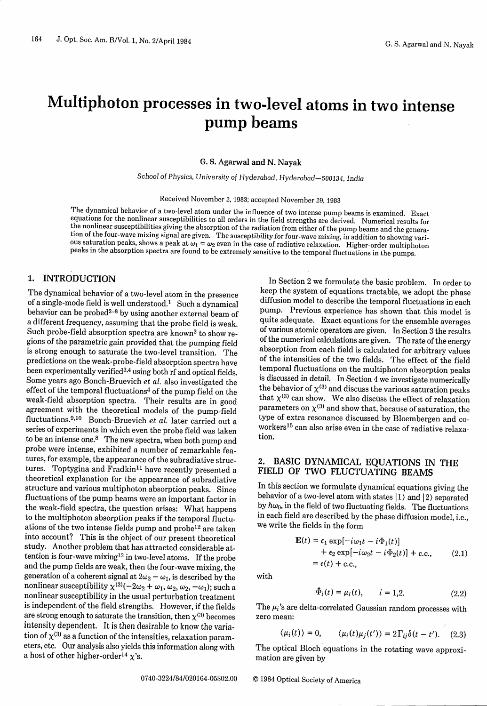# Multiphoton processes in two-level atoms in two intense pump beams

G. S. Agarwal and N. Nayak

School *of* Physics, *University of* Hyderabad, *Hyderabad-500134,* India

Received November 2, 1983; accepted November 29, 1983

The dynamical behavior of a two-level atom under the influence of two intense pump beams is examined. Exact<br>equations for the nonlinear susceptibilities to all orders in the field strengths are derived. Numerical results

# 1. INTRODUCTION

The dynamical behavior of a two-level atom in the presence of a single-mode field is well understood.<sup>1</sup> Such a dynamical behavior can be probed<sup>2-8</sup> by using another external beam of a different frequency, assuming that the probe field is weak. Such probe-field absorption spectra are known2 to show regions of the parametric gain provided that the pumping field is strong enough to saturate the two-level transition. The predictions on the weak-probe-field absorption spectra have been experimentally verified<sup>3,4</sup> using both rf and optical fields. Some years ago Bonch-Bruevich *et al.* also investigated the effect of the temporal fluctuations<sup>4</sup> of the pump field on the weak-field absorption spectra. Their results are in good agreement with the theoretical models of the pump-field fluctuations.<sup>9,10</sup> Bonch-Bruevich *et al.* later carried out a series of experiments in which even the probe field was taken to be an intense one.<sup>8</sup> The new spectra, when both pump and probe were intense, exhibited a number of remarkable features, for example, the appearance of the subradiative structures. Toptygina and Fradkin<sup>11</sup> have recently presented a theoretical explanation for the appearance of subradiative structure and various multiphoton absorption peaks. Since fluctuations of the pump beams were an important factor in the weak-field spectra, the question arises: What happens to the multiphoton absorption peaks if the temporal fluctuations of the two intense fields pump and probe12 are taken into account? This is the object of our present theoretical study. Another problem that has attracted considerable attention is four-wave mixing1<sup>3</sup> in two-level atoms. If the probe and the pump fields are weak, then the four-wave mixing, the generation of a coherent signal at  $2\omega_2 - \omega_1$ , is described by the nonlinear susceptibility  $\chi^{(3)}(-2\omega_2 + \omega_1, \omega_2, \omega_2, -\omega_1)$ ; such a nonlinear susceptibility in the usual perturbation treatment is independent of the field strengths. However, if the fields are strong enough to saturate the transition, then  $\chi^{(3)}$  becomes intensity dependent. It is then desirable to know the variation of  $\chi^{(3)}$  as a function of the intensities, relaxation parameters, etc. Our analysis also yields this information along with a host of other higher-order<sup>14</sup>  $\chi$ 's.

In Section 2 we formulate the basic problem. In order to keep the system of equations tractable, we adopt the phase diffusion model to describe the temporal fluctuations in each pump. Previous experience has shown that this model is quite adequate. Exact equations for the ensemble averages of various atomic operators are given. In Section 3 the results of the numerical calculations are given. The rate of the energy absorption from each field is calculated for arbitrary values of the intensities of the two fields. The effect of the field is discussed in detail. In Section 4 we investigate numerically the behavior of  $\chi^{(3)}$  and discuss the various saturation peaks that  $\chi^{(3)}$  can show. We also discuss the effect of relaxation parameters on  $\chi^{(3)}$  and show that, because of saturation, the type of extra resonance discussed by Bloembergen and coworkers<sup>15</sup> can also arise even in the case of radiative relaxation.

## 2. BASIC DYNAMICAL EQUATIONS IN THE FIELD OF TWO FLUCTUATING BEAMS

In this section we formulate dynamical equations giving the behavior of a two-level atom with states  $|1\rangle$  and  $|2\rangle$  separated by  $h\omega_0$ , in the field of two fluctuating fields. The fluctuations in each field are described by the phase diffusion model, i.e., we write the fields in the form

$$
\mathbf{E}(t) = \epsilon_1 \exp[-i\omega_1 t - i\Phi_1(t)] \n+ \epsilon_2 \exp[-i\omega_2 t - i\Phi_2(t)] + \text{c.c.,}
$$
\n(2.1)  
\n= \epsilon(t) + \text{c.c.,}

with

$$
\Phi_i(t) = \mu_i(t), \qquad i = 1, 2. \tag{2.2}
$$

The  $\mu_i$ 's are delta-correlated Gaussian random processes with zero mean:

$$
\langle \mu_i(t) \rangle = 0, \qquad \langle \mu_i(t) \mu_j(t') \rangle = 2 \Gamma_{ij} \delta(t - t'). \quad (2.3)
$$

The optical Bloch equations in the rotating wave approxi- mation are given by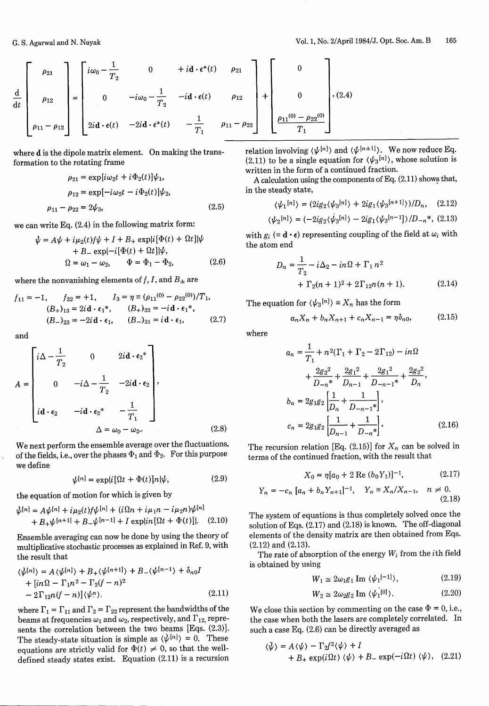$$
\frac{d}{dt}\begin{bmatrix} \rho_{21} \\ \rho_{12} \\ \rho_{11} - \rho_{12} \end{bmatrix} = \begin{bmatrix} i\omega_0 - \frac{1}{T_2} & 0 & +i\mathbf{d} \cdot \epsilon^*(t) & \rho_{21} \\ 0 & -i\omega_0 - \frac{1}{T_2} & -i\mathbf{d} \cdot \epsilon(t) & \rho_{12} \\ 2i\mathbf{d} \cdot \epsilon(t) & -2i\mathbf{d} \cdot \epsilon^*(t) & -\frac{1}{T_1} & \rho_{11} - \rho_{22} \end{bmatrix} + \begin{bmatrix} 0 \\ 0 \\ \frac{\rho_{11}(0) - \rho_{22}(0)}{T_1} \end{bmatrix}, (2.4)
$$

where **d** is the dipole matrix element. On making the transformation to the rotating frame

$$
\rho_{21} = \exp[i\omega_2 t + i\Phi_2(t)]\psi_1,
$$
  
\n
$$
\rho_{12} = \exp[-i\omega_2 t - i\Phi_2(t)]\psi_2,
$$
  
\n
$$
\rho_{11} - \rho_{22} = 2\psi_3,
$$
\n(2.5)

we can write Eq. (2.4) in the following matrix form:

$$
\psi = A\psi + i\mu_2(t)f\psi + I + B_+ \exp\{i[\Phi(t) + \Omega t]\}\psi
$$
  
+ B\_ - \exp\{-i[\Phi(t) + \Omega t]\}\psi,  

$$
\Omega = \omega_1 - \omega_2, \qquad \Phi = \Phi_1 - \Phi_2,
$$
 (2.6)

where the nonvanishing elements of  $f, I$ , and  $B_{\pm}$  are

$$
f_{11} = -1, \t f_{22} = +1, \t I_3 = \eta = (\rho_{11}(0) - \rho_{22}(0))/T_1,
$$
  
\n
$$
(B_+)_{13} = 2i\mathbf{d} \cdot \epsilon_1^*, \t (B_+)_{32} = -i\mathbf{d} \cdot \epsilon_1^*,
$$
  
\n
$$
(B_-)_{23} = -2i\mathbf{d} \cdot \epsilon_1, \t (B_-)_{31} = i\mathbf{d} \cdot \epsilon_1, \t (2.7)
$$

and

$$
A = \begin{bmatrix} i\Delta - \frac{1}{T_2} & 0 & 2i\mathbf{d} \cdot \epsilon_2^* \\ 0 & -i\Delta - \frac{1}{T_2} & -2i\mathbf{d} \cdot \epsilon_2 \\ i\mathbf{d} \cdot \epsilon_2 & -i\mathbf{d} \cdot \epsilon_2^* & -\frac{1}{T_1} \end{bmatrix},
$$
  

$$
\Delta = \omega_0 - \omega_2.
$$
 (2.8)

We next perform the ensemble average over the fluctuations, of the fields, i.e., over the phases  $\Phi_1$  and  $\Phi_2$ . For this purpose we define

$$
\psi^{[n]} = \exp\{i[\Omega t + \Phi(t)]n\}\psi, \tag{2.9}
$$

the equation of motion for which is given by

$$
\psi^{[n]} = A\psi^{[n]} + i\mu_2(t)f\psi^{[n]} + (i\Omega n + i\mu_1 n - i\mu_2 n)\psi^{[n]} + B_+\psi^{[n+1]} + B_-\psi^{[n-1]} + I \exp\{i n[\Omega t + \Phi(t)]\}.
$$
 (2.10)

Ensemble averaging can now be done by using the theory of multiplicative stochastic processes as explained in Ref. 9, with the result that

$$
\langle \psi^{[n]} \rangle = A \langle \psi^{[n]} \rangle + B_+ \langle \psi^{[n+1]} \rangle + B_- \langle \psi^{[n-1]} \rangle + \delta_{n0} I
$$
  
+ 
$$
[in \Omega - \Gamma_1 n^2 - \Gamma_2 (f - n)^2
$$
  
- 
$$
2 \Gamma_{12} n (f - n) ] \langle \psi^n \rangle.
$$
 (2.11)

where  $\Gamma_1 = \Gamma_{11}$  and  $\Gamma_2 = \Gamma_{22}$  represent the bandwidths of the beams at frequencies  $\omega_1$  and  $\omega_2$ , respectively, and  $\Gamma_{12}$ , represents the correlation between the two beams [Eqs. (2.3)]. The steady-state situation is simple as  $\langle \psi^{[n]} \rangle = 0$ . These equations are strictly valid for  $\Phi(t) \neq 0$ , so that the welldefined steady states exist. Equation (2.11) is a recursion

relation involving  $\langle \psi^{[n]} \rangle$  and  $\langle \psi^{[n+1]} \rangle$ . We now reduce Eq. (2.11) to be a single equation for  $\langle \psi_3^{[n]} \rangle$ , whose solution is written in the form of a continued fraction.

A calculation using the components of Eq. (2.11) shows that, in the steady state,

$$
\langle\psi_{1}^{[n]}\rangle=(2ig_{2}\langle\psi_{3}^{[n]}\rangle+2ig_{1}\langle\psi_{3}^{[n+1]}\rangle)/D_{n},\quad(2.12)
$$

$$
\langle \psi_2^{[n]} \rangle = (-2ig_2 \langle \psi_3^{[n]} \rangle - 2ig_1 \langle \psi_3^{[n-1]} \rangle / D_{-n}^*, (2.13)
$$

with  $g_i \equiv \mathbf{d} \cdot \boldsymbol{\epsilon}$  representing coupling of the field at  $\omega_i$  with the atom end

$$
D_n = \frac{1}{T_2} - i\Delta_2 - in\Omega + \Gamma_1 n^2 + \Gamma_2 (n+1)^2 + 2\Gamma_{12} n(n+1).
$$
 (2.14)

The equation for  $\langle \psi_3^{[n]} \rangle \equiv X_n$  has the form

$$
a_n X_n + b_n X_{n+1} + c_n X_{n-1} = \eta \delta_{n0}, \qquad (2.15)
$$

where

$$
a_n = \frac{1}{T_1} + n^2(\Gamma_1 + \Gamma_2 - 2\Gamma_{12}) - in\Omega
$$
  
+ 
$$
\frac{2g_2^2}{D_{-n}} + \frac{2g_1^2}{D_{n-1}} + \frac{2g_1^2}{D_{-n-1}} + \frac{2g_2^2}{D_n},
$$
  

$$
b_n = 2g_1g_2\left[\frac{1}{D_n} + \frac{1}{D_{-n-1}}\right],
$$
  

$$
c_n = 2g_1g_2\left[\frac{1}{D_{n-1}} + \frac{1}{D_{-n}}\right].
$$
 (2.16)

The recursion relation [Eq. (2.15)] for  $X_n$  can be solved in terms of the continued fraction, with the result that

$$
X_0 = \eta [a_0 + 2 \text{ Re } (b_0 Y_1)]^{-1}, \qquad (2.17)
$$

$$
Y_n = -c_n [a_n + b_n Y_{n+1}]^{-1}, \quad Y_n = X_n / X_{n-1}, \quad n \neq 0.
$$
\n(2.18)

The system of equations is thus completely solved once the solution of Eqs. (2.17) and (2.18) is known. The off-diagonal elements of the density matrix are then obtained from Eqs. (2.12) and (2.13).

The rate of absorption of the energy  $W_i$  from the *i*th field is obtained by using

$$
W_1 \cong 2\omega_1 g_1 \operatorname{Im} \langle \psi_1^{[-1]} \rangle, \tag{2.19}
$$

$$
W_2 \cong 2\omega_2 g_2 \operatorname{Im} \langle \psi_1^{[0]} \rangle. \tag{2.20}
$$

We close this section by commenting on the case  $\Phi = 0$ , i.e., the case when both the lasers are completely correlated. In such a case Eq. (2.6) can be directly averaged as

$$
\langle \psi \rangle = A \langle \psi \rangle - \Gamma_2 f^2 \langle \psi \rangle + I
$$
  
+ 
$$
B_+ \exp(i \Omega t) \langle \psi \rangle + B_- \exp(-i \Omega t) \langle \psi \rangle, \quad (2.21)
$$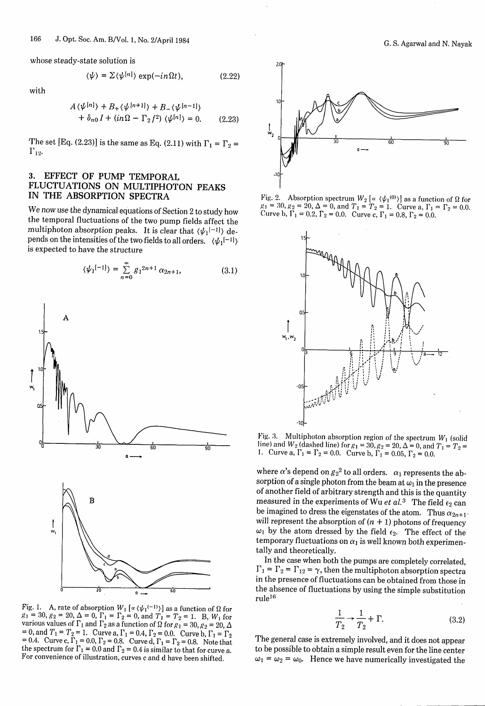whose steady-state solution is

$$
\langle \psi \rangle = \Sigma \langle \psi^{[n]} \rangle \exp(-in\Omega t), \qquad (2.22)
$$

with

$$
A \langle \psi^{[n]} \rangle + B_+ \langle \psi^{[n+1]} \rangle + B_- \langle \psi^{[n-1]} \rangle
$$
  
+  $\delta_{n0} I + (in\Omega - \Gamma_2 f^2) \langle \psi^{[n]} \rangle = 0.$  (2.23)

The set [Eq. (2.23)] is the same as Eq. (2.11) with  $\Gamma_1 = \Gamma_2 =$  $\Gamma_{12}$ .

### **3. EFFECT OF PUMP TEMPORAL FLUCTUATIONS ON MULTIPHOTON PEAKS IN THE ABSORPTION SPECTRA**

We now use the dynamical equations of Section 2 to study how the temporal fluctuations of the two pump fields affect the multiphoton absorption peaks. It is clear that  $\langle \psi_1^{[-1]} \rangle$  depends on the intensities of the two fields to all orders.  $\langle \psi_1^{[-1]} \rangle$ is expected to have the structure

$$
\langle \psi_1^{[-1]} \rangle = \sum_{n=0}^{\infty} g_1^{2n+1} \alpha_{2n+1}, \tag{3.1}
$$



Fig. 1. A, rate of absorption  $W_1$  [ $\propto$   $(\psi_1^{(-1)})$ ] as a function of  $\Omega$  for  $l_1 = 30, g_2 = 20, \Delta = 0, \Gamma_1 = \Gamma_2 = 0, \text{ and } T_1 = T_2 = 1.$  B,  $W_1$  for various values of  $\Gamma_1$  and  $\Gamma_2$  as a function of  $\Omega$  for  $g_1 = 30$ ,  $g_2 = 20$ ,  $\Delta$  = 0, and  $T_1 = T_2 = 1$ . Curve a,  $\Gamma_1 = 0.4$ ,  $\Gamma_2 = 0.8$ . Curve b,  $\Gamma_1 = \Gamma_2$  = 0.4. Ourve c,  $\Gamma_1 = 0.0$ ,  $\Gamma_2 = 0.8$ . Curve d,  $\$ the spectrum for  $\Gamma_1$  = 0.0 and  $\Gamma_2$  = 0.4 is similar to that for curve a.<br>For convenience of illustration, curves c and d have been shifted.



Fig. 2. Absorption spectrum  $W_2 \left[ \alpha \left( \psi_1^{(0)} \right) \right]$  as a function of  $\Omega$  for  $g_1 = 30$ ,  $g_2 = 20$ ,  $\Delta = 0$ , and  $T_1 = T_2 = 1$ . Curve a,  $\Gamma_1 = \Gamma_2 = 0.0$ . Curve b,  $\Gamma_1 = 0.2$ ,  $\Gamma_2 = 0.0$ . Curve c,  $\Gamma_1 = 0.8$ ,  $\Gamma_2 = 0.0$ .



Fig. 3. Multiphoton absorption region of the spectrum  $W_1$  (solid line) and  $W_2$  (dashed line) for  $g_1 = 30$ ,  $g_2 = 20$ ,  $\Delta = 0$ , and  $T_1 = T_2 = 1$ . Curve a,  $\Gamma_1 = \Gamma_2 = 0.0$ . Curve b,  $\Gamma_1 = 0.05$ ,  $\Gamma_2 = 0.0$ .

where  $\alpha$ 's depend on  ${g_2}^2$  to all orders.  $\alpha_1$  represents the absorption of a single photon from the beam at  $\omega_1$  in the presence of another field of arbitrary strength and this is the quantity measured in the experiments of Wu *et al.*<sup>3</sup> The field  $\epsilon_2$  can be imagined to dress the eigenstates of the atom. Thus  $\alpha_{2n+1}$ . will represent the absorption of  $(n + 1)$  photons of frequency  $\omega_1$  by the atom dressed by the field  $\epsilon_2$ . The effect of the temporary fluctuations on  $\alpha_1$  is well known both experimentally and theoretically.<br>In the case when both the pumps are completely correlated,

 $\Gamma_1 = \Gamma_2 = \Gamma_{12} = \gamma$ , then the multiphoton absorption spectra in the presence of fluctuations can be obtained from those in the absence of fluctuations by using the simple substitution rule **<sup>1</sup> <sup>6</sup>**

$$
\frac{1}{T_2} \rightarrow \frac{1}{T_2} + \Gamma. \tag{3.2}
$$

The general case is extremely involved, and it does not appear to be possible to obtain a simple result even for the line center  $\omega_1 = \omega_2 = \omega_0$ . Hence we have numerically investigated the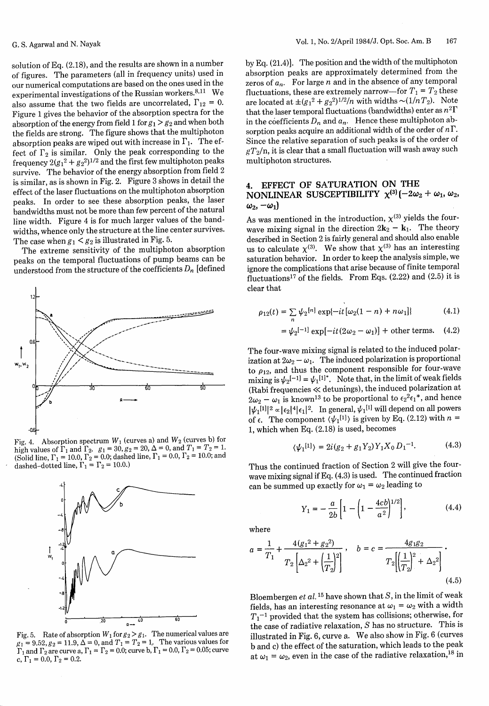solution of Eq. (2.18), and the results are shown in a number of figures. The parameters (all in frequency units) used in our numerical computations are based on the ones used in the experimental investigations of the Russian workers. $8,11$  We also assume that the two fields are uncorrelated,  $\Gamma_{12} = 0$ . Figure 1 gives the behavior of the absorption spectra for the absorption of the energy from field 1 for  $g_1 > g_2$  and when both the fields are strong. The figure shows that the multiphoton absorption peaks are wiped out with increase in  $\Gamma_1$ . The effect of  $\Gamma_2$  is similar. Only the peak corresponding to the frequency  $2(g_1^2 + g_2^2)^{1/2}$  and the first few multiphoton peaks survive. The behavior of the energy absorption from field 2 is similar, as is shown in Fig. 2. Figure 3 shows in detail the effect of the laser fluctuations on the multiphoton absorption peaks. In order to see these absorption peaks, the laser bandwidths must not be more than few percent of the natural line width. Figure 4 is for much larger values of the bandwidths, whence only the structure at the line center survives. The case when  $g_1 < g_2$  is illustrated in Fig. 5.

The extreme sensitivity of the multiphoton absorption peaks on the temporal fluctuations of pump beams can be understood from the structure of the coefficients  $D_n$  [defined



Fig. 4. Absorption spectrum  $W_1$  (curves a) and  $W_2$  (curves b) for high values of  $\Gamma_1$  and  $\Gamma_2$ .  $g_1 = 30$ ,  $g_2 = 20$ ,  $\Delta = 0$ , and  $T_1 = T_2 = 1$ . (Solid line,  $\Gamma_1 = 10.0$ ,  $\Gamma_2 = 0.0$ ; dashed line,  $\Gamma_1 = 0.0$ ,  $\Gamma_2 = 10.0$ ; and dashed–dotted line,  $\Gamma_1=\Gamma_2=10.0.1$ 



by Eq. (21.4)]. The position and the width of the multiphoton absorption peaks are approximately determined from the zeros of  $a_n$ . For large n and in the absence of any temporal fluctuations, these are extremely narrow-for  $T_1 = T_2$  these are located at  $\pm (g_1^2 + g_2^2)^{1/2}/n$  with widths  $\sim (1/nT_2)$ . Note that the laser temporal fluctuations (bandwidths) enter as  $n^2\Gamma$ in the coefficients  $D_n$  and  $a_n$ . Hence these multiphoton absorption peaks acquire an additional width of the order of  $n\Gamma$ . Since the relative separation of such peaks is of the order of  $gT_2/n$ , it is clear that a small fluctuation will wash away such multiphoton structures.

# **4. EFFECT OF SATURATION ON THE NONLINEAR SUSCEPTIBILITY**  $\chi^{(3)}$  (-2 $\omega_2$  +  $\omega_1$ ,  $\omega_2$ ,  $\omega_2, -\omega_1$

As was mentioned in the introduction,  $\chi^{(3)}$  yields the fourwave mixing signal in the direction  $2k_2 - k_1$ . The theory described in Section 2 is fairly general and should also enable us to calculate  $\chi^{(3)}$ . We show that  $\chi^{(3)}$  has an interesting saturation behavior. In order to keep the analysis simple, we ignore the complications that arise because of finite temporal fluctuations<sup>17</sup> of the fields. From Eqs.  $(2.22)$  and  $(2.5)$  it is clear that

$$
\rho_{12}(t) = \sum_{n} \psi_2^{[n]} \exp\{-it[\omega_2(1-n) + n\omega_1]\}\tag{4.1}
$$

$$
= \psi_2^{[-1]} \exp[-it(2\omega_2 - \omega_1)] + \text{other terms.} \quad (4.2)
$$

The four-wave mixing signal is related to the induced polarization at  $2\omega_2 - \omega_1$ . The induced polarization is proportional to  $\rho_{12}$ , and thus the component responsible for four-wave mixing is  $\psi_2$ <sup>[-1]</sup> =  $\psi_1$ <sup>[1]\*</sup>. Note that, in the limit of weak fields (Rabi frequencies << detunings), the induced polarization at  $2\omega_2 - \omega_1$  is known<sup>13</sup> to be proportional to  $\epsilon_2^2 \epsilon_1^*$ , and hence  $|\psi_1^{\text{[1]}}|^2$   $\alpha |\epsilon_2|^4 |\epsilon_1|^2$ . In general,  $\psi_1^{\text{[1]}}$  will depend on all powers of  $\epsilon$ . The component  $\langle \psi_1^{[1]} \rangle$  is given by Eq. (2.12) with  $n =$ 1, which when Eq. (2.18) is used, becomes

$$
\langle \psi_1^{[1]} \rangle = 2i(g_2 + g_1 Y_2) Y_1 X_0 D_1^{-1}.
$$
 (4.3)

Thus the continued fraction of Section 2 will give the fourwave mixing signal if Eq. (4.3) is used. The continued fraction can be summed up exactly for  $\omega_1 = \omega_2$  leading to

$$
Y_1 = -\frac{a}{2b} \left[ 1 - \left( 1 - \frac{4cb}{a^2} \right)^{1/2} \right],
$$
 (4.4)

where

$$
a = \frac{1}{T_1} + \frac{4(g_1^2 + g_2^2)}{T_2 \left[\Delta_2^2 + \left(\frac{1}{T_2}\right)^2\right]}, \quad b = c = \frac{4g_1g_2}{T_2 \left[\left(\frac{1}{T_2}\right)^2 + \Delta_2^2\right]}.
$$
\n(4.5)

Bloembergen *et al. 15* have shown that S, in the limit of weak fields, has an interesting resonance at  $\omega_1 = \omega_2$  with a width *T,-'* provided that the system has collisions; otherwise, for the case of radiative relaxation, S has no structure. This is illustrated in Fig. 6, curve a. We also show in Fig. 6 (curves b and c) the effect of the saturation, which leads to the peak at  $\omega_1 = \omega_2$ , even in the case of the radiative relaxation,<sup>18</sup> in